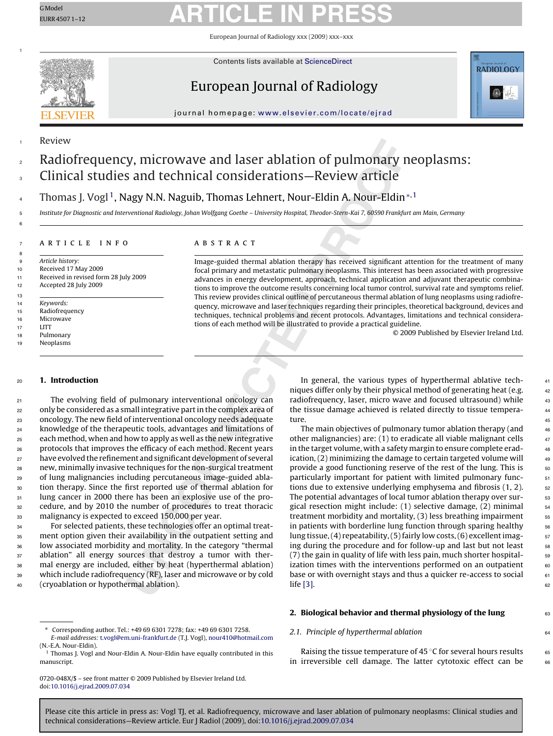European Journal of Radiology xxx (2009) xxx–xxx



Contents lists available at [ScienceDirect](http://www.sciencedirect.com/science/journal/0720048X)

### European Journal of Radiology



journal homepage: [www.elsevier.com/locate/ejrad](http://www.elsevier.com/locate/ejrad)

### **Review**

1

#### Radiofrequency, microwave and laser ablation of pulmonary neoplasms: Clinical studies and technical considerations—Review article 2 3

### Thomas J. Vogl<sup>1</sup>, Nagy N.N. Naguib, Thomas Lehnert, Nour-Eldin A. Nour-Eldin<sup>∗, 1</sup>

5 Institute for Diagnostic and Interventional Radiology, Johan Wolfgang Goethe – University Hospital, Theodor-Stern-Kai 7, 60590 Frankfurt am Main, Germany

### ARTICLE INFO

 Article history: Received 17 May 2009 Received in revised form 28 July 2009 Accepted 28 July 2009

- 14 Keywords:
- 15 Radiofrequency
- 16 Microwave
- 17 LITT

6

8

13

- 18 Pulmonary
- 19 Neoplasms

### <sup>20</sup> **1. Introduction**

 The evolving field of pulmonary interventional oncology can only be considered as a small integrative part in the complex area of oncology. The new field of interventional oncology needs adequate knowledge of the therapeutic tools, advantages and limitations of each method, when and how to apply as well as the new integrative protocols that improves the efficacy of each method. Recent years have evolved the refinement and significant development of several new, minimally invasive techniques for the non-surgical treatment of lung malignancies including percutaneous image-guided abla- tion therapy. Since the first reported use of thermal ablation for lung cancer in 2000 there has been an explosive use of the pro- cedure, and by 2010 the number of procedures to treat thoracic malignancy is expected to exceed 150,000 per year.

 For selected patients, these technologies offer an optimal treat- ment option given their availability in the outpatient setting and low associated morbidity and mortality. In the category "thermal ablation" all energy sources that destroy a tumor with ther- mal energy are included, either by heat (hyperthermal ablation) which include radiofrequency (RF), laser and microwave or by cold (cryoablation or hypothermal ablation).

### **ABSTRACT**

Image-guided thermal ablation therapy has received significant attention for the treatment of many focal primary and metastatic pulmonary neoplasms. This interest has been associated with progressive advances in energy development, approach, technical application and adjuvant therapeutic combinations to improve the outcome results concerning local tumor control, survival rate and symptoms relief. This review provides clinical outline of percutaneous thermal ablation of lung neoplasms using radiofrequency, microwave and laser techniques regarding their principles, theoretical background, devices and techniques, technical problems and recent protocols. Advantages, limitations and technical considerations of each method will be illustrated to provide a practical guideline.

© 2009 Published by Elsevier Ireland Ltd.

In general, the various types of hyperthermal ablative tech-<br>41 niques differ only by their physical method of generating heat (e.g.  $42$ radiofrequency, laser, micro wave and focused ultrasound) while  $\frac{43}{4}$ the tissue damage achieved is related directly to tissue tempera- <sup>44</sup> ture. And the set of the set of the set of the set of the set of the set of the set of the set of the set of the set of the set of the set of the set of the set of the set of the set of the set of the set of the set of the

**y**, **microwave and laser ablation of pulmonary ns**<br>
and technical considerations—Review article<br>
lagy N.N. Naguib, Thomas Lehnert, Nour-Eldin A. Nour-Eldin age<br>
meanual Radobeg, *bhou* welgang Geeke - ulmoring Hespleti, The main objectives of pulmonary tumor ablation therapy (and  $46$ other malignancies) are: (1) to eradicate all viable malignant cells <sup>47</sup> in the target volume, with a safety margin to ensure complete erad-<br>48 ication,  $(2)$  minimizing the damage to certain targeted volume will  $49$ provide a good functioning reserve of the rest of the lung. This is  $\frac{50}{50}$ particularly important for patient with limited pulmonary func-<br>51 tions due to extensive underlying emphysema and fibrosis  $(1, 2)$ .  $\frac{52}{2}$ The potential advantages of local tumor ablation therapy over sur-<br>53 gical resection might include: (1) selective damage, (2) minimal  $54$ treatment morbidity and mortality, (3) less breathing impairment 55 in patients with borderline lung function through sparing healthy 56 lung tissue, (4) repeatability, (5) fairly low costs, (6) excellent imag-<br>
<sub>57</sub> ing during the procedure and for follow-up and last but not least 58 (7) the gain in quality of life with less pain, much shorter hospital- <sup>59</sup> ization times with the interventions performed on an outpatient  $\qquad \circ$ base or with overnight stays and thus a quicker re-access to social 61  $\text{life } [3]$ .

### **2. Biological behavior and thermal physiology of the lung** <sup>63</sup>

### 2.1. Principle of hyperthermal ablation

∗ Corresponding author. Tel.: +49 69 6301 7278; fax: +49 69 6301 7258. E-mail addresses: [t.vogl@em.uni-frankfurt.de](mailto:t.vogl@em.uni-frankfurt.de) (T.J. Vogl), [nour410@hotmail.com](mailto:nour410@hotmail.com) (N.-E.A. Nour-Eldin).

0720-048X/\$ – see front matter © 2009 Published by Elsevier Ireland Ltd. doi:[10.1016/j.ejrad.2009.07.034](dx.doi.org/10.1016/j.ejrad.2009.07.034)

Raising the tissue temperature of 45  $\degree$ C for several hours results  $65$ in irreversible cell damage. The latter cytotoxic effect can be  $66$ 

<sup>&</sup>lt;sup>1</sup> Thomas J. Vogl and Nour-Eldin A. Nour-Eldin have equally contributed in this manuscript.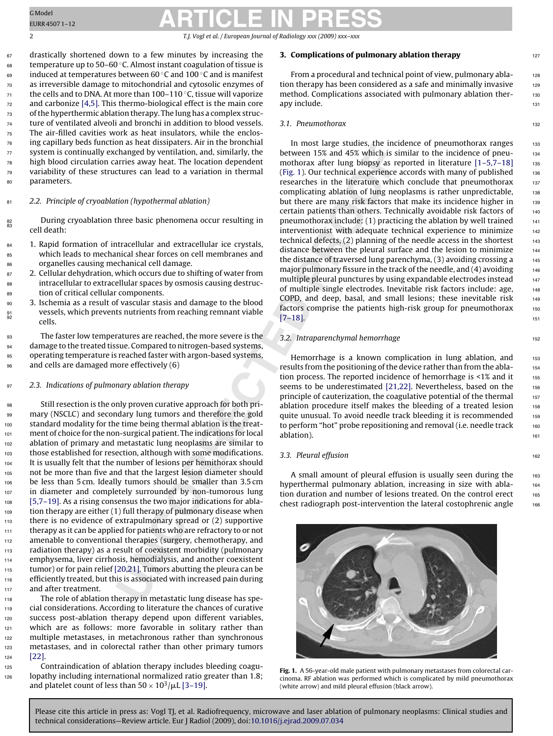<span id="page-1-0"></span>GModel EURR 4507 1–12

### **ARTICLE IN PRESS**

2 T.J. Vogl et al. / European Journal of Radiology *xxx (2009) xxx–xxx*

 drastically shortened down to a few minutes by increasing the  $\frac{1}{68}$  temperature up to 50–60 °C. Almost instant coagulation of tissue is 69 induced at temperatures between 60 °C and 100 °C and is manifest as irreversible damage to mitochondrial and cytosolic enzymes of the cells and to DNA. At more than 100–110 °C, tissue will vaporize and carbonize [\[4,5\]. T](#page-10-0)his thermo-biological effect is the main core of the hyperthermic ablation therapy. The lung has a complex struc- ture of ventilated alveoli and bronchi in addition to blood vessels. The air-filled cavities work as heat insulators, while the enclos- ing capillary beds function as heat dissipaters. Air in the bronchial 77 system is continually exchanged by ventilation, and, similarly, the high blood circulation carries away heat. The location dependent variability of these structures can lead to a variation in thermal parameters.

### <sup>81</sup> 2.2. Principle of cryoablation (hypothermal ablation)

<sup>82</sup> During cryoablation three basic phenomena occur resulting in cell death:

- 84 1. Rapid formation of intracellular and extracellular ice crystals, <sup>85</sup> which leads to mechanical shear forces on cell membranes and <sup>86</sup> organelles causing mechanical cell damage.
- 87 2. Cellular dehydration, which occurs due to shifting of water from <sup>88</sup> intracellular to extracellular spaces by osmosis causing destruc-<sup>89</sup> tion of critical cellular components.
- <sup>90</sup> 3. Ischemia as a result of vascular stasis and damage to the blood 91 vessels, which prevents nutrients from reaching remnant viable cells. <sup>92</sup>

 The faster low temperatures are reached, the more severe is the 94 damage to the treated tissue. Compared to nitrogen-based systems, operating temperature is reached faster with argon-based systems, and cells are damaged more effectively (6)

### 97 2.3. Indications of pulmonary ablation therapy

on anche tuaspear and the internet to the continuous the mass targe solution and similarly, the<br>the term 15% and 48% which is structured and the term internal properties are need by ventilation, and, similarly, the<br>term is Still resection is the only proven curative approach for both pri- mary (NSCLC) and secondary lung tumors and therefore the gold standard modality for the time being thermal ablation is the treat-101 ment of choice for the non-surgical patient. The indications for local ablation of primary and metastatic lung neoplasms are similar to those established for resection, although with some modifications. It is usually felt that the number of lesions per hemithorax should not be more than five and that the largest lesion diameter should be less than 5 cm. Ideally tumors should be smaller than 3.5 cm 107 in diameter and completely surrounded by non-tumorous lung [\[5,7–19\]. A](#page-10-0)s a rising consensus the two major indications for abla- tion therapy are either (1) full therapy of pulmonary disease when there is no evidence of extrapulmonary spread or (2) supportive 111 therapy as it can be applied for patients who are refractory to or not 112 amenable to conventional therapies (surgery, chemotherapy, and radiation therapy) as a result of coexistent morbidity (pulmonary emphysema, liver cirrhosis, hemodialysis, and another coexistent tumor) or for pain relief [\[20,21\]. T](#page-10-0)umors abutting the pleura can be efficiently treated, but this is associated with increased pain during 117 and after treatment.

 The role of ablation therapy in metastatic lung disease has spe- cial considerations. According to literature the chances of curative success post-ablation therapy depend upon different variables, which are as follows: more favorable in solitary rather than multiple metastases, in metachronous rather than synchronous metastases, and in colorectal rather than other primary tumors <sup>124</sup> [\[22\].](#page-10-0)

<sup>125</sup> Contraindication of ablation therapy includes bleeding coagu-126 lopathy including international normalized ratio greater than 1.8; and platelet count of less than  $50 \times 10^3/\mu$ L [\[3–19\].](#page-10-0)

### **3. Complications of pulmonary ablation therapy** 127

From a procedural and technical point of view, pulmonary abla-<br>128 tion therapy has been considered as a safe and minimally invasive  $129$ method. Complications associated with pulmonary ablation ther-<br>130 apy include. 131

### 3.1. Pneumothorax 132

In most large studies, the incidence of pneumothorax ranges 133 between 15% and 45% which is similar to the incidence of pneu-<br>134 mothorax after lung biopsy as reported in literature  $[1-5,7-18]$  135 (Fig. 1). Our technical experience accords with many of published  $136$ researches in the literature which conclude that pneumothorax 137 complicating ablation of lung neoplasms is rather unpredictable, 138 but there are many risk factors that make its incidence higher in 139 certain patients than others. Technically avoidable risk factors of 140 pneumothorax include:  $(1)$  practicing the ablation by well trained  $141$ interventionist with adequate technical experience to minimize 142 technical defects,  $(2)$  planning of the needle access in the shortest  $143$ distance between the pleural surface and the lesion to minimize 144 the distance of traversed lung parenchyma,  $(3)$  avoiding crossing a  $145$ major pulmonary fissure in the track of the needle, and  $(4)$  avoiding  $146$ multiple pleural punctures by using expandable electrodes instead  $147$ of multiple single electrodes. Inevitable risk factors include: age, 148 COPD, and deep, basal, and small lesions; these inevitable risk  $148$ factors comprise the patients high-risk group for pneumothorax 150  $[7-18]$ .

### 3.2. Intraparenchymal hemorrhage 152

Hemorrhage is a known complication in lung ablation, and  $153$ results from the positioning of the device rather than from the abla- <sup>154</sup> tion process. The reported incidence of hemorrhage is  $\leq 1\%$  and it  $\qquad$  155 seems to be underestimated  $[21,22]$ . Nevertheless, based on the  $156$ principle of cauterization, the coagulative potential of the thermal 157 ablation procedure itself makes the bleeding of a treated lesion  $158$ quite unusual. To avoid needle track bleeding it is recommended 159 to perform "hot" probe repositioning and removal (i.e. needle track 160 ablation). The state of the state of the state of the state of the state of the state of the state of the state of the state of the state of the state of the state of the state of the state of the state of the state of the

### 3.3. Pleural effusion 162

A small amount of pleural effusion is usually seen during the  $163$ hyperthermal pulmonary ablation, increasing in size with abla-<br>164 tion duration and number of lesions treated. On the control erect 165 chest radiograph post-intervention the lateral costophrenic angle 166

**Fig. 1.** A 56-year-old male patient with pulmonary metastases from colorectal carcinoma. RF ablation was performed which is complicated by mild pneumothorax (white arrow) and mild pleural effusion (black arrow).



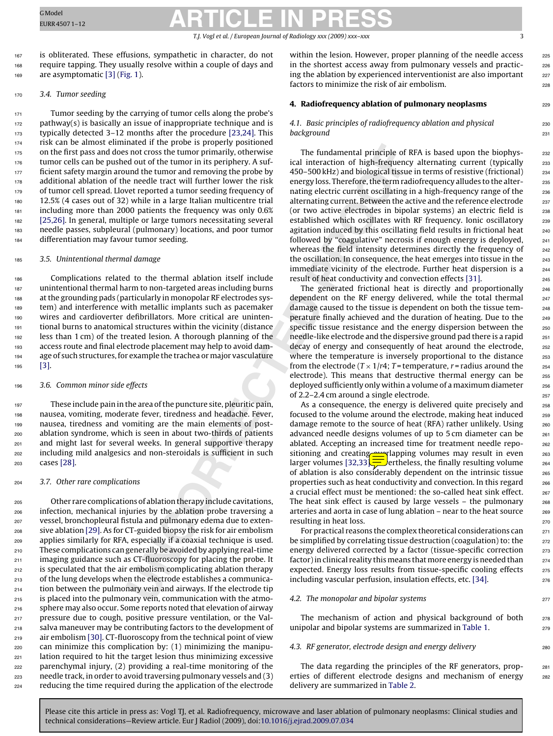<sup>167</sup> is obliterated. These effusions, sympathetic in character, do not <sup>168</sup> require tapping. They usually resolve within a couple of days and 169 are asymptomatic [\[3\]](#page-10-0) [\(Fig. 1\).](#page-1-0)

### <sup>170</sup> 3.4. Tumor seeding

 Tumor seeding by the carrying of tumor cells along the probe's pathway(s) is basically an issue of inappropriate technique and is typically detected 3–12 months after the procedure [\[23,24\]. T](#page-10-0)his risk can be almost eliminated if the probe is properly positioned on the first pass and does not cross the tumor primarily, otherwise tumor cells can be pushed out of the tumor in its periphery. A suf-177 ficient safety margin around the tumor and removing the probe by additional ablation of the needle tract will further lower the risk of tumor cell spread. Llovet reported a tumor seeding frequency of 12.5% (4 cases out of 32) while in a large Italian multicentre trial including more than 2000 patients the frequency was only 0.6% [\[25,26\]. I](#page-10-0)n general, multiple or large tumors necessitating several needle passes, subpleural (pulmonary) locations, and poor tumor differentiation may favour tumor seeding.

#### <sup>185</sup> 3.5. Unintentional thermal damage

 Complications related to the thermal ablation itself include unintentional thermal harm to non-targeted areas including burns at the grounding pads (particularly in monopolar RF electrodes sys- tem) and interference with metallic implants such as pacemaker wires and cardioverter defibrillators. More critical are uninten- tional burns to anatomical structures within the vicinity (distance less than 1 cm) of the treated lesion. A thorough planning of the access route and final electrode placement may help to avoid dam- age of such structures, for example the trachea or major vasculature <sup>195</sup> [\[3\].](#page-10-0)

### <sup>196</sup> 3.6. Common minor side effects

 These include pain in the area of the puncture site, pleuritic pain, nausea, vomiting, moderate fever, tiredness and headache. Fever, nausea, tiredness and vomiting are the main elements of post- ablation syndrome, which is seen in about two-thirds of patients and might last for several weeks. In general supportive therapy including mild analgesics and non-steroidals is sufficient in such cases [\[28\].](#page-10-0)

#### <sup>204</sup> 3.7. Other rare complications

 Other rare complications of ablation therapy include cavitations, infection, mechanical injuries by the ablation probe traversing a vessel, bronchopleural fistula and pulmonary edema due to exten- sive ablation [\[29\]. A](#page-10-0)s for CT-guided biopsy the risk for air embolism applies similarly for RFA, especially if a coaxial technique is used. These complications can generally be avoided by applying real-time 211 imaging guidance such as CT-fluoroscopy for placing the probe. It is speculated that the air embolism complicating ablation therapy of the lung develops when the electrode establishes a communica- tion between the pulmonary vein and airways. If the electrode tip is placed into the pulmonary vein, communication with the atmo- sphere may also occur. Some reports noted that elevation of airway pressure due to cough, positive pressure ventilation, or the Val- salva maneuver may be contributing factors to the development of 219 air embolism [\[30\]. C](#page-10-0)T-fluoroscopy from the technical point of view can minimize this complication by: (1) minimizing the manipu-221 lation required to hit the target lesion thus minimizing excessive parenchymal injury, (2) providing a real-time monitoring of the needle track, in order to avoid traversing pulmonary vessels and (3) reducing the time required during the application of the electrode within the lesion. However, proper planning of the needle access 225 in the shortest access away from pulmonary vessels and practic-<br>226 ing the ablation by experienced interventionist are also important  $227$ factors to minimize the risk of air embolism.  $228$ 

### **4. Radiofrequency ablation of pulmonary neoplasms**

### 4.1. Basic principles of radiofrequency ablation and physical 230  $background$   $231$

ansacre are poesen positively boshomokom<br>
in the function in the function of heliod of out of the tunnor interaction (and the tunnor interaction (and the tunnor interaction (and the tunnor interaction (and the tunnor inter The fundamental principle of RFA is based upon the biophys-<br>232 ical interaction of high-frequency alternating current (typically 233 450–500 kHz) and biological tissue in terms of resistive (frictional) <sup>234</sup> energy loss. Therefore, the term radiofrequency alludes to the alter-<br>235 nating electric current oscillating in a high-frequency range of the 236 alternating current. Between the active and the reference electrode  $237$ (or two active electrodes in bipolar systems) an electric field is 238 established which oscillates with RF frequency. Ionic oscillatory 239 agitation induced by this oscillating field results in frictional heat 240 followed by "coagulative" necrosis if enough energy is deployed, 241 whereas the field intensity determines directly the frequency of 242 the oscillation. In consequence, the heat emerges into tissue in the 243 immediate vicinity of the electrode. Further heat dispersion is a  $_{244}$ result of heat conductivity and convection effects [\[31\].](#page-10-0) <sup>245</sup>

The generated frictional heat is directly and proportionally  $_{246}$ dependent on the RF energy delivered, while the total thermal  $247$ damage caused to the tissue is dependent on both the tissue tem-<br><sub>248</sub> perature finally achieved and the duration of heating. Due to the 249 specific tissue resistance and the energy dispersion between the 250 needle-like electrode and the dispersive ground pad there is a rapid  $251$ decay of energy and consequently of heat around the electrode, <sub>252</sub> where the temperature is inversely proportional to the distance 253 from the electrode ( $T \times 1/r4$ ;  $T$  = temperature,  $r$  = radius around the electrode). This means that destructive thermal energy can be electrode). This means that destructive thermal energy can be deployed sufficiently only within a volume of a maximum diameter  $\qquad$  256 of 2.2–2.4 cm around a single electrode.

As a consequence, the energy is delivered quite precisely and 258 focused to the volume around the electrode, making heat induced  $_{258}$ damage remote to the source of heat (RFA) rather unlikely. Using  $260$ advanced needle designs volumes of up to 5 cm diameter can be  $261$ ablated. Accepting an increased time for treatment needle repo-<br>262 sitioning and creating **overlapping volumes may result in even** 263 larger volumes [32,33] $\frac{1}{\sqrt{1-\frac{1}{n}}}$  ertheless, the finally resulting volume 264 of ablation is also considerably dependent on the intrinsic tissue 265 properties such as heat conductivity and convection. In this regard  $_{266}$ a crucial effect must be mentioned: the so-called heat sink effect.  $267$ The heat sink effect is caused by large vessels  $-$  the pulmonary  $268$ arteries and aorta in case of lung ablation  $-$  near to the heat source  $268$ resulting in heat loss. The contract of the contract of the contract of the contract of the contract of the contract of the contract of the contract of the contract of the contract of the contract of the contract of the co

For practical reasons the complex theoretical considerations can 271 be simplified by correlating tissue destruction (coagulation) to: the 272 energy delivered corrected by a factor (tissue-specific correction 273 factor) in clinical reality this means that more energy is needed than  $274$ expected. Energy loss results from tissue-specific cooling effects 275 including vascular perfusion, insulation effects, etc. [\[34\].](#page-10-0) 276

#### 4.2. The monopolar and bipolar systems 277

The mechanism of action and physical background of both 278 unipolar and bipolar systems are summarized in [Table 1.](#page-3-0)

### 4.3. RF generator, electrode design and energy delivery  $280$

The data regarding the principles of the RF generators, prop-<br>281 erties of different electrode designs and mechanism of energy 282 delivery are summarized in [Table 2.](#page-3-0)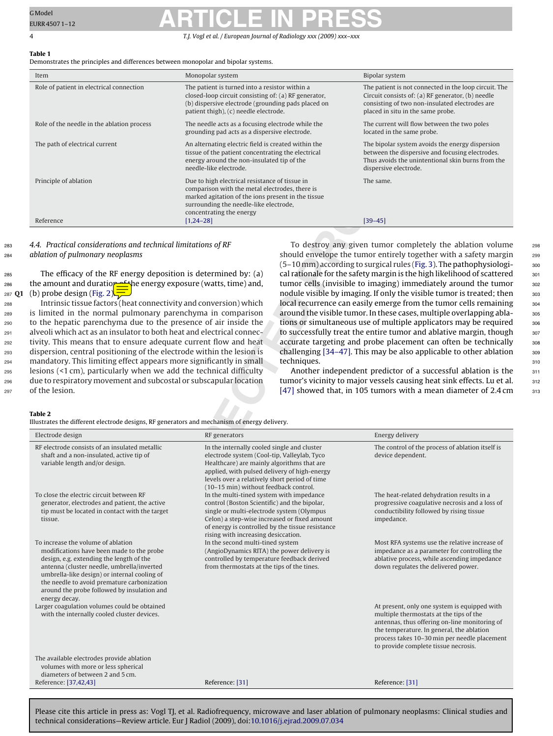<span id="page-3-0"></span>4 T.J. Vogl et al. / European Journal of Radiology *xxx (2009) xxx–xxx*

**Table 1**

Demonstrates the principles and differences between monopolar and bipolar systems.

| Item                                       | Monopolar system                                                                                                                                                                                                             | Bipolar system                                                                                                                                                                                    |
|--------------------------------------------|------------------------------------------------------------------------------------------------------------------------------------------------------------------------------------------------------------------------------|---------------------------------------------------------------------------------------------------------------------------------------------------------------------------------------------------|
| Role of patient in electrical connection   | The patient is turned into a resistor within a<br>closed-loop circuit consisting of: (a) RF generator,<br>(b) dispersive electrode (grounding pads placed on<br>patient thigh), (c) needle electrode.                        | The patient is not connected in the loop circuit. The<br>Circuit consists of: (a) RF generator, (b) needle<br>consisting of two non-insulated electrodes are<br>placed in situ in the same probe. |
| Role of the needle in the ablation process | The needle acts as a focusing electrode while the<br>grounding pad acts as a dispersive electrode.                                                                                                                           | The current will flow between the two poles<br>located in the same probe.                                                                                                                         |
| The path of electrical current             | An alternating electric field is created within the<br>tissue of the patient concentrating the electrical<br>energy around the non-insulated tip of the<br>needle-like electrode.                                            | The bipolar system avoids the energy dispersion<br>between the dispersive and focusing electrodes.<br>Thus avoids the unintentional skin burns from the<br>dispersive electrode.                  |
| Principle of ablation                      | Due to high electrical resistance of tissue in<br>comparison with the metal electrodes, there is<br>marked agitation of the ions present in the tissue<br>surrounding the needle-like electrode,<br>concentrating the energy | The same.                                                                                                                                                                                         |
| Reference                                  | $[1, 24 - 28]$                                                                                                                                                                                                               | [39–45]                                                                                                                                                                                           |

<sup>283</sup> 4.4. Practical considerations and technical limitations of RF <sup>284</sup> ablation of pulmonary neoplasms

<sup>285</sup> The efficacy of the RF energy deposition is determined by: (a) 286 the amount and duration of the energy exposure (watts, time) and, <sup>287</sup> **Q1** (b) probe design [\(Fig. 2\).](#page-4-0)

 Intrinsic tissue factors (heat connectivity and conversion) which is limited in the normal pulmonary parenchyma in comparison to the hepatic parenchyma due to the presence of air inside the alveoli which act as an insulator to both heat and electrical connec- tivity. This means that to ensure adequate current flow and heat dispersion, central positioning of the electrode within the lesion is mandatory. This limiting effect appears more significantly in small lesions (<1 cm), particularly when we add the technical difficulty due to respiratory movement and subcostal or subscapular location of the lesion.

To destroy any given tumor completely the ablation volume 298 should envelope the tumor entirely together with a safety margin 299 (5–10 mm) according to surgical rules ([Fig. 3\).](#page-4-0) The pathophysiologi- <sup>300</sup> cal rationale for the safety margin is the high likelihood of scattered  $301$ tumor cells (invisible to imaging) immediately around the tumor some nodule visible by imaging. If only the visible tumor is treated; then  $\frac{303}{200}$ local recurrence can easily emerge from the tumor cells remaining 304 around the visible tumor. In these cases, multiple overlapping abla- 305 tions or simultaneous use of multiple applicators may be required 306 to successfully treat the entire tumor and ablative margin, though 307 accurate targeting and probe placement can often be technically some challenging [34–47]. This may be also applicable to other ablation 309 techniques. 310

Another independent predictor of a successful ablation is the 311 tumor's vicinity to major vessels causing heat sink effects. Lu et al. 312  $[47]$  showed that, in 105 tumors with a mean diameter of 2.4 cm  $313$ 

#### **Table 2**

| The path of electrical current                                                                                                                                                                                                                                                                                                                                  | An aiternating electric field is created within the<br>tissue of the patient concentrating the electrical<br>energy around the non-insulated tip of the<br>needle-like electrode.                                                                                                  |                                                                                                                                                                                                                                                                                                                                                     | The bipolar system avoids the energy dispersion<br>between the dispersive and focusing electrodes.<br>Thus avoids the unintentional skin burns from the<br>dispersive electrode.                                                                                              |  |  |
|-----------------------------------------------------------------------------------------------------------------------------------------------------------------------------------------------------------------------------------------------------------------------------------------------------------------------------------------------------------------|------------------------------------------------------------------------------------------------------------------------------------------------------------------------------------------------------------------------------------------------------------------------------------|-----------------------------------------------------------------------------------------------------------------------------------------------------------------------------------------------------------------------------------------------------------------------------------------------------------------------------------------------------|-------------------------------------------------------------------------------------------------------------------------------------------------------------------------------------------------------------------------------------------------------------------------------|--|--|
| Principle of ablation                                                                                                                                                                                                                                                                                                                                           | Due to high electrical resistance of tissue in<br>comparison with the metal electrodes, there is<br>marked agitation of the ions present in the tissue<br>surrounding the needle-like electrode,<br>concentrating the energy                                                       |                                                                                                                                                                                                                                                                                                                                                     | The same.                                                                                                                                                                                                                                                                     |  |  |
| Reference                                                                                                                                                                                                                                                                                                                                                       | $[1, 24 - 28]$                                                                                                                                                                                                                                                                     |                                                                                                                                                                                                                                                                                                                                                     | $[39 - 45]$                                                                                                                                                                                                                                                                   |  |  |
|                                                                                                                                                                                                                                                                                                                                                                 |                                                                                                                                                                                                                                                                                    |                                                                                                                                                                                                                                                                                                                                                     |                                                                                                                                                                                                                                                                               |  |  |
| 4.4. Practical considerations and technical limitations of RF<br>ablation of pulmonary neoplasms<br>The efficacy of the RF energy deposition is determined by: (a)<br>the amount and duration style energy exposure (watts, time) and,                                                                                                                          |                                                                                                                                                                                                                                                                                    | To destroy any given tumor completely the ablation volume<br>should envelope the tumor entirely together with a safety margin<br>(5-10 mm) according to surgical rules (Fig. 3). The pathophysiologi-<br>cal rationale for the safety margin is the high likelihood of scattered<br>tumor cells (invisible to imaging) immediately around the tumor |                                                                                                                                                                                                                                                                               |  |  |
| (b) probe design (Fig. 2)<br>Intrinsic tissue factors (heat connectivity and conversion) which<br>is limited in the normal pulmonary parenchyma in comparison<br>to the hepatic parenchyma due to the presence of air inside the                                                                                                                                |                                                                                                                                                                                                                                                                                    | nodule visible by imaging. If only the visible tumor is treated; then<br>local recurrence can easily emerge from the tumor cells remaining<br>around the visible tumor. In these cases, multiple overlapping abla-<br>tions or simultaneous use of multiple applicators may be required                                                             |                                                                                                                                                                                                                                                                               |  |  |
| alveoli which act as an insulator to both heat and electrical connec-<br>tivity. This means that to ensure adequate current flow and heat<br>dispersion, central positioning of the electrode within the lesion is<br>mandatory. This limiting effect appears more significantly in small<br>lesions (<1 cm), particularly when we add the technical difficulty |                                                                                                                                                                                                                                                                                    | techniques.                                                                                                                                                                                                                                                                                                                                         | to successfully treat the entire tumor and ablative margin, though<br>accurate targeting and probe placement can often be technically<br>challenging [34-47]. This may be also applicable to other ablation<br>Another independent predictor of a successful ablation is the  |  |  |
| due to respiratory movement and subcostal or subscapular location<br>of the lesion.                                                                                                                                                                                                                                                                             |                                                                                                                                                                                                                                                                                    |                                                                                                                                                                                                                                                                                                                                                     | tumor's vicinity to major vessels causing heat sink effects. Lu et al.<br>[47] showed that, in 105 tumors with a mean diameter of 2.4 cm                                                                                                                                      |  |  |
| Table 2<br>Illustrates the different electrode designs, RF generators and mechanism of energy delivery.                                                                                                                                                                                                                                                         |                                                                                                                                                                                                                                                                                    |                                                                                                                                                                                                                                                                                                                                                     |                                                                                                                                                                                                                                                                               |  |  |
| Electrode design                                                                                                                                                                                                                                                                                                                                                | RF generators                                                                                                                                                                                                                                                                      |                                                                                                                                                                                                                                                                                                                                                     | Energy delivery                                                                                                                                                                                                                                                               |  |  |
| RF electrode consists of an insulated metallic<br>shaft and a non-insulated, active tip of<br>variable length and/or design.                                                                                                                                                                                                                                    | In the internally cooled single and cluster<br>electrode system (Cool-tip, Valleylab, Tyco<br>Healthcare) are mainly algorithms that are<br>applied, with pulsed delivery of high-energy<br>levels over a relatively short period of time<br>(10–15 min) without feedback control. |                                                                                                                                                                                                                                                                                                                                                     | The control of the process of ablation itself is<br>device dependent.                                                                                                                                                                                                         |  |  |
| To close the electric circuit between RF<br>generator, electrodes and patient, the active<br>tip must be located in contact with the target<br>tissue.                                                                                                                                                                                                          | In the multi-tined system with impedance<br>control (Boston Scientific) and the bipolar,<br>single or multi-electrode system (Olympus<br>Celon) a step-wise increased or fixed amount<br>of energy is controlled by the tissue resistance<br>rising with increasing desiccation.   |                                                                                                                                                                                                                                                                                                                                                     | The heat-related dehydration results in a<br>progressive coagulative necrosis and a loss of<br>conductibility followed by rising tissue<br>impedance.                                                                                                                         |  |  |
| To increase the volume of ablation<br>modifications have been made to the probe<br>design, e.g. extending the length of the<br>antenna (cluster needle, umbrella/inverted<br>umbrella-like design) or internal cooling of<br>the needle to avoid premature carbonization<br>around the probe followed by insulation and                                         | In the second multi-tined system<br>(AngioDynamics RITA) the power delivery is<br>controlled by temperature feedback derived<br>from thermostats at the tips of the tines.                                                                                                         |                                                                                                                                                                                                                                                                                                                                                     | Most RFA systems use the relative increase of<br>impedance as a parameter for controlling the<br>ablative process, while ascending impedance<br>down regulates the delivered power.                                                                                           |  |  |
| energy decay.<br>Larger coagulation volumes could be obtained<br>with the internally cooled cluster devices.                                                                                                                                                                                                                                                    |                                                                                                                                                                                                                                                                                    |                                                                                                                                                                                                                                                                                                                                                     | At present, only one system is equipped with<br>multiple thermostats at the tips of the<br>antennas, thus offering on-line monitoring of<br>the temperature. In general, the ablation<br>process takes 10-30 min per needle placement<br>to provide complete tissue necrosis. |  |  |
| The available electrodes provide ablation<br>volumes with more or less spherical<br>diameters of between 2 and 5 cm.<br>Reference: [37,42,43]                                                                                                                                                                                                                   | Reference: [31]                                                                                                                                                                                                                                                                    |                                                                                                                                                                                                                                                                                                                                                     | Reference: [31]                                                                                                                                                                                                                                                               |  |  |
|                                                                                                                                                                                                                                                                                                                                                                 |                                                                                                                                                                                                                                                                                    |                                                                                                                                                                                                                                                                                                                                                     |                                                                                                                                                                                                                                                                               |  |  |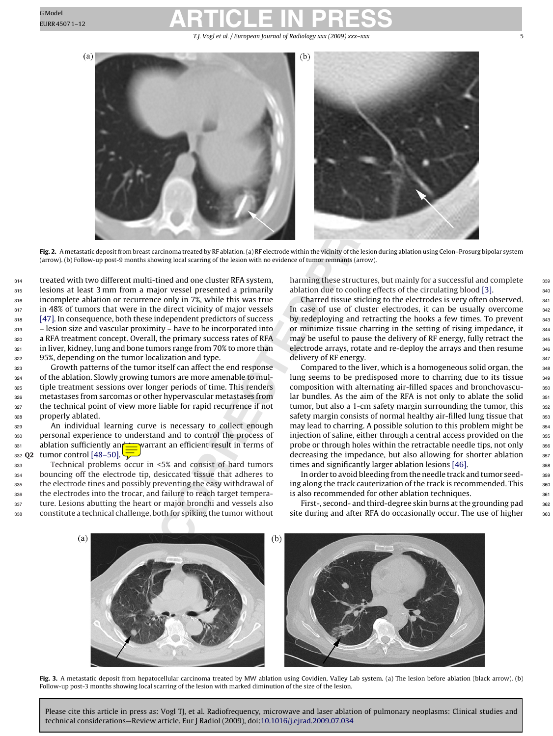T.J. Vogl et al. / European Journal of Radiology *xxx (2009) xxx–xxx* 5

<span id="page-4-0"></span>

**Fig. 2.** A metastatic deposit from breast carcinoma treated by RF ablation. (a) RF electrode within the vicinity of the lesion during ablation using Celon–Prosurg bipolar system (arrow). (b) Follow-up post-9 months showing local scarring of the lesion with no evidence of tumor remnants (arrow).

 treated with two different multi-tined and one cluster RFA system, lesions at least 3 mm from a major vessel presented a primarily incomplete ablation or recurrence only in 7%, while this was true 317 in 48% of tumors that were in the direct vicinity of major vessels [\[47\]. I](#page-10-0)n consequence, both these independent predictors of success – lesion size and vascular proximity – have to be incorporated into a RFA treatment concept. Overall, the primary success rates of RFA 321 in liver, kidney, lung and bone tumors range from 70% to more than 95%, depending on the tumor localization and type.

 Growth patterns of the tumor itself can affect the end response 324 of the ablation. Slowly growing tumors are more amenable to mul- tiple treatment sessions over longer periods of time. This renders metastases from sarcomas or other hypervascular metastases from 327 the technical point of view more liable for rapid recurrence if not properly ablated.

 An individual learning curve is necessary to collect enough personal experience to understand and to control the process of ablation sufficiently and  $\frac{1}{2}$  warrant an efficient result in terms of **Q2** tumor control [\[48–50\].](#page-10-0)

 Technical problems occur in <5% and consist of hard tumors bouncing off the electrode tip, desiccated tissue that adheres to the electrode tines and possibly preventing the easy withdrawal of the electrodes into the trocar, and failure to reach target tempera- ture. Lesions abutting the heart or major bronchi and vessels also constitute a technical challenge, both for spiking the tumor without harming these structures, but mainly for a successful and complete 339 ablation due to cooling effects of the circulating blood [\[3\].](#page-10-0) 340

Charred tissue sticking to the electrodes is very often observed.  $341$ In case of use of cluster electrodes, it can be usually overcome  $342$ by redeploying and retracting the hooks a few times. To prevent 343 or minimize tissue charring in the setting of rising impedance, it 344 may be useful to pause the delivery of RF energy, fully retract the  $345$ electrode arrays, rotate and re-deploy the arrays and then resume  $346$ delivery of RF energy.

Compared to the liver, which is a homogeneous solid organ, the 348 lung seems to be predisposed more to charring due to its tissue 349 composition with alternating air-filled spaces and bronchovascu-<br>350 lar bundles. As the aim of the RFA is not only to ablate the solid  $351$ tumor, but also a 1-cm safety margin surrounding the tumor, this 352 safety margin consists of normal healthy air-filled lung tissue that 353 may lead to charring. A possible solution to this problem might be  $354$ injection of saline, either through a central access provided on the 355 probe or through holes within the retractable needle tips, not only 356 decreasing the impedance, but also allowing for shorter ablation 357 times and significantly larger ablation lesions [\[46\].](#page-10-0) 358

In order to avoid bleeding from the needle track and tumor seed-<br>359 ing along the track cauterization of the track is recommended. This  $360$ is also recommended for other ablation techniques.

First-, second- and third-degree skin burns at the grounding pad 362 site during and after RFA do occasionally occur. The use of higher 363



**Fig. 3.** A metastatic deposit from hepatocellular carcinoma treated by MW ablation using Covidien, Valley Lab system. (a) The lesion before ablation (black arrow). (b) Follow-up post-3 months showing local scarring of the lesion with marked diminution of the size of the lesion.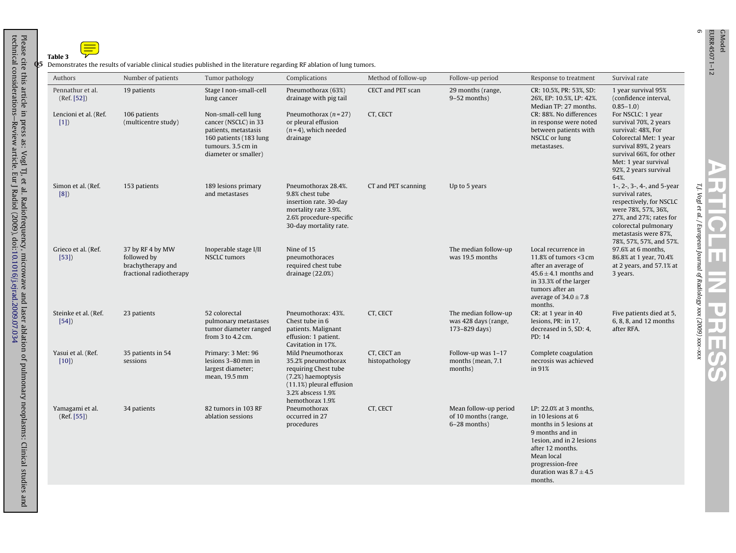| Table 3 <u>W</u>                                                                                                                  |  |
|-----------------------------------------------------------------------------------------------------------------------------------|--|
| <b>Q5</b> Demonstrates the results of variable clinical studies published in the literature regarding RF ablation of lung tumors. |  |

| Authors                         | Number of patients                                                              | Tumor pathology                                                                                                                             | Complications                                                                                                                                               | Method of follow-up           | Follow-up period                                              | Response to treatment                                                                                                                                                                                                | Survival rate                                                                                                                                                                                           |
|---------------------------------|---------------------------------------------------------------------------------|---------------------------------------------------------------------------------------------------------------------------------------------|-------------------------------------------------------------------------------------------------------------------------------------------------------------|-------------------------------|---------------------------------------------------------------|----------------------------------------------------------------------------------------------------------------------------------------------------------------------------------------------------------------------|---------------------------------------------------------------------------------------------------------------------------------------------------------------------------------------------------------|
| Pennathur et al.<br>(Ref. [52]) | 19 patients                                                                     | Stage I non-small-cell<br>lung cancer                                                                                                       | Pneumothorax (63%)<br>drainage with pig tail                                                                                                                | CECT and PET scan             | 29 months (range,<br>$9-52$ months)                           | CR: 10.5%, PR: 53%, SD:<br>26%, EP: 10.5%, LP: 42%.<br>Median TP: 27 months.                                                                                                                                         | 1 year survival 95%<br>(confidence interval,<br>$0.85 - 1.0$                                                                                                                                            |
| Lencioni et al. (Ref.<br>[1]    | 106 patients<br>(multicentre study)                                             | Non-small-cell lung<br>cancer (NSCLC) in 33<br>patients, metastasis<br>160 patients (183 lung<br>tumours. 3.5 cm in<br>diameter or smaller) | Pneumothorax $(n=27)$<br>or pleural effusion<br>$(n=4)$ , which needed<br>drainage                                                                          | CT, CECT                      |                                                               | CR: 88%. No differences<br>in response were noted<br>between patients with<br>NSCLC or lung<br>metastases.                                                                                                           | For NSCLC: 1 year<br>survival 70%, 2 years<br>survival: 48%, For<br>Colorectal Met: 1 year<br>survival 89%, 2 years<br>survival 66%, for other<br>Met: 1 year survival<br>92%, 2 years survival<br>64%. |
| Simon et al. (Ref.<br>[8]       | 153 patients                                                                    | 189 lesions primary<br>and metastases                                                                                                       | Pneumothorax 28.4%.<br>9.8% chest tube<br>insertion rate. 30-day<br>mortality rate 3.9%.<br>2.6% procedure-specific<br>30-day mortality rate.               | CT and PET scanning           | Up to 5 years                                                 |                                                                                                                                                                                                                      | 1-, 2-, 3-, 4-, and 5-year<br>survival rates,<br>respectively, for NSCLC<br>were 78%, 57%, 36%,<br>27%, and 27%; rates for<br>colorectal pulmonary<br>metastasis were 87%,<br>78%, 57%, 57%, and 57%.   |
| Grieco et al. (Ref.<br>[53]     | 37 by RF 4 by MW<br>followed by<br>brachytherapy and<br>fractional radiotherapy | Inoperable stage I/II<br><b>NSCLC</b> tumors                                                                                                | Nine of 15<br>pneumothoraces<br>required chest tube<br>drainage $(22.0%)$                                                                                   |                               | The median follow-up<br>was 19.5 months                       | Local recurrence in<br>11.8% of tumors <3 cm<br>after an average of<br>$45.6 \pm 4.1$ months and<br>in 33.3% of the larger<br>tumors after an<br>average of $34.0 \pm 7.8$<br>months.                                | 97.6% at 6 months,<br>86.8% at 1 year, 70.4%<br>at 2 years, and $57.1\%$ at<br>3 years.                                                                                                                 |
| Steinke et al. (Ref.<br>$[54]$  | 23 patients                                                                     | 52 colorectal<br>pulmonary metastases<br>tumor diameter ranged<br>from $3$ to $4.2$ cm.                                                     | Pneumothorax: 43%.<br>Chest tube in 6<br>patients. Malignant<br>effusion: 1 patient.<br>Cavitation in 17%.                                                  | CT, CECT                      | The median follow-up<br>was 428 days (range,<br>173-829 days) | CR: at 1 year in 40<br>lesions, PR: in 17,<br>decreased in 5, SD: 4,<br>PD: 14                                                                                                                                       | Five patients died at 5,<br>6, 8, 8, and 12 months<br>after RFA.                                                                                                                                        |
| Yasui et al. (Ref.<br>$[10]$    | 35 patients in 54<br>sessions                                                   | Primary: 3 Met: 96<br>lesions 3-80 mm in<br>largest diameter;<br>mean, 19.5 mm                                                              | Mild Pneumothorax<br>35.2% pneumothorax<br>requiring Chest tube<br>(7.2%) haemoptysis<br>$(11.1%)$ pleural effusion<br>3.2% abscess 1.9%<br>hemothorax 1.9% | CT, CECT an<br>histopathology | Follow-up was $1-17$<br>months (mean, 7.1<br>months)          | Complete coagulation<br>necrosis was achieved<br>in 91%                                                                                                                                                              |                                                                                                                                                                                                         |
| Yamagami et al.<br>(Ref. [55])  | 34 patients                                                                     | 82 tumors in 103 RF<br>ablation sessions                                                                                                    | Pneumothorax<br>occurred in 27<br>procedures                                                                                                                | CT, CECT                      | Mean follow-up period<br>of 10 months (range,<br>6-28 months) | LP: 22.0% at 3 months,<br>in 10 lesions at 6<br>months in 5 lesions at<br>9 months and in<br>1esion, and in 2 lesions<br>after 12 months.<br>Mean local<br>progression-free<br>duration was $8.7 \pm 4.5$<br>months. |                                                                                                                                                                                                         |

[10.1016/j.ejrad.2009.07.034](dx.doi.org/10.1016/j.ejrad.2009.07.034)

<span id="page-5-0"></span>technical considerations—Review article. Eur J Radiol (2009), doi:

6

**ARTICLE IN PRESS** h  $\mathbf{P}$ RTI T.J. Vogl et al. / European Journal of Radiology xxx (2009) xxx-xxx T.J. Vogl et al. / European Journal of Radiology 0 п Ш and the  $\geq$ PRESSS *xxx (2009) xxx–xxx*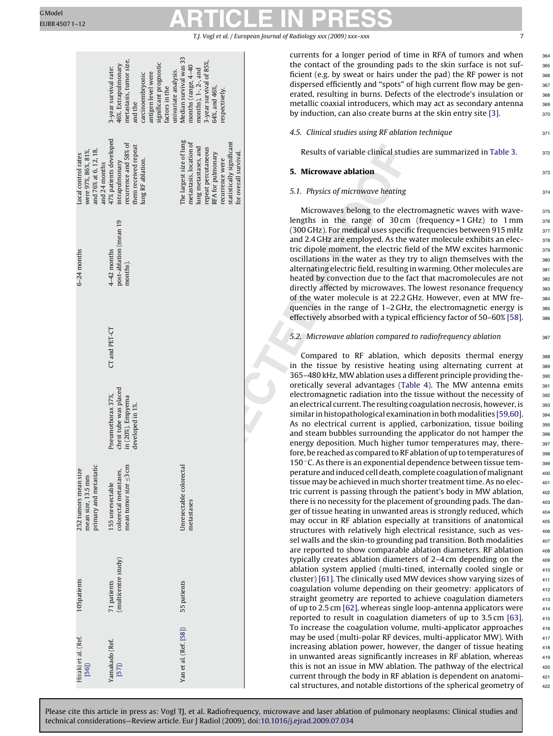T.J. Vogl et al. / European Journal of Radiology *xxx (2009) xxx–xxx* 7



currents for a longer period of time in RFA of tumors and when 364 the contact of the grounding pads to the skin surface is not suf-<br>365 ficient (e.g. by sweat or hairs under the pad) the RF power is not  $366$ dispersed efficiently and "spots" of high current flow may be gen-<br>367 erated, resulting in burns. Defects of the electrode's insulation or 368 metallic coaxial introducers, which may act as secondary antenna 369 by induction, can also create burns at the skin entry site  $[3]$ .  $370$ 

### 4.5. Clinical studies using RF ablation technique  $371$

Results of variable clinical studies are summarized in [Table 3.](#page-5-0) 372

### **5. Microwave ablation** 373

5.1. Physics of microwave heating 374

Microwaves belong to the electromagnetic waves with wave-<br>375 lengths in the range of 30 cm (frequency =  $1$  GHz) to  $1$  mm  $376$ (300 GHz). For medical uses specific frequencies between 915 mHz 377 and 2.4 GHz are employed. As the water molecule exhibits an elec- 378 tric dipole moment, the electric field of the MW excites harmonic 379 oscillations in the water as they try to align themselves with the 380 alternating electric field, resulting in warming. Other molecules are  $\frac{381}{100}$ heated by convection due to the fact that macromolecules are not 382 directly affected by microwaves. The lowest resonance frequency 383 of the water molecule is at 22.2 GHz. However, even at MW fre-<br>384 quencies in the range of  $1-2$  GHz, the electromagnetic energy is  $385$ effectively absorbed with a typical efficiency factor of 50-60% [\[58\].](#page-11-0) 386

### 5.2. Microwave ablation compared to radiofrequency ablation 387

Compared to RF ablation, which deposits thermal energy 388 in the tissue by resistive heating using alternating current at  $389$ 365–480 kHz, MW ablation uses a different principle providing the-<br>390 oretically several advantages [\(Table 4\).](#page-7-0) The MW antenna emits  $391$ electromagnetic radiation into the tissue without the necessity of 392 an electrical current. The resulting coagulation necrosis, however, is  $\frac{393}{2}$ similar in histopathological examination in both modalities [\[59,60\].](#page-11-0)  $394$ As no electrical current is applied, carbonization, tissue boiling 395 and steam bubbles surrounding the applicator do not hamper the 396 energy deposition. Much higher tumor temperatures may, there-<br>397 fore, be reached as compared to RF ablation of up to temperatures of 398 150  $\degree$ C. As there is an exponential dependence between tissue tem- $\qquad$  399 perature and induced cell death, complete coagulation of malignant  $400$ tissue may be achieved in much shorter treatment time. As no elec-  $401$ tric current is passing through the patient's body in MW ablation,  $402$ there is no necessity for the placement of grounding pads. The dan-<br>403 ger of tissue heating in unwanted areas is strongly reduced, which  $404$ may occur in RF ablation especially at transitions of anatomical 405 structures with relatively high electrical resistance, such as ves-  $406$ sel walls and the skin-to grounding pad transition. Both modalities  $407$ are reported to show comparable ablation diameters. RF ablation  $408$ typically creates ablation diameters of  $2-4$  cm depending on the  $408$ ablation system applied (multi-tined, internally cooled single or  $410$ cluster) [61]. The clinically used MW devices show varying sizes of  $411$ coagulation volume depending on their geometry: applicators of  $412$ straight geometry are reported to achieve coagulation diameters  $413$ of up to 2.5 cm [\[62\], w](#page-11-0)hereas single loop-antenna applicators were  $414$ reported to result in coagulation diameters of up to  $3.5 \text{ cm}$  [\[63\].](#page-11-0)  $415$ To increase the coagulation volume, multi-applicator approaches  $416$ may be used (multi-polar RF devices, multi-applicator MW). With  $417$ increasing ablation power, however, the danger of tissue heating 418 in unwanted areas significantly increases in RF ablation, whereas 419 this is not an issue in MW ablation. The pathway of the electrical 420 current through the body in RF ablation is dependent on anatomi-<br>421 cal structures, and notable distortions of the spherical geometry of  $\qquad$  422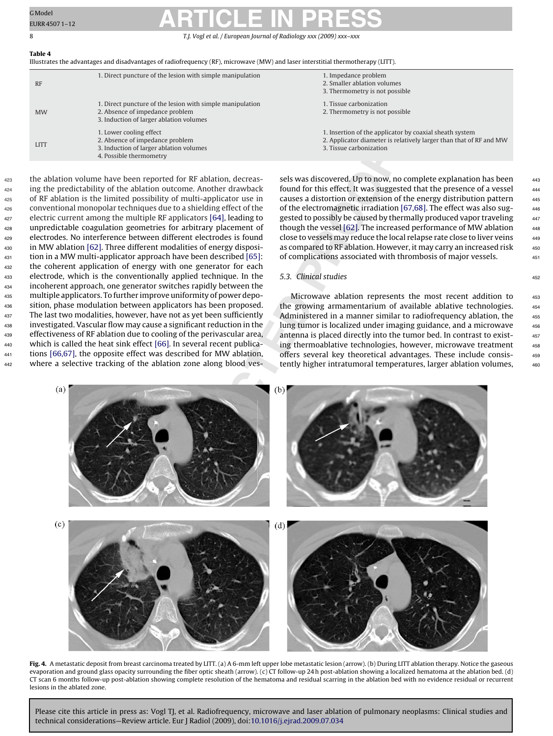<span id="page-7-0"></span>8 T.J. Vogl et al. / European Journal of Radiology *xxx* (2009) *xxx*-

| Table 4 |  |  |  |  |  |
|---------|--|--|--|--|--|
|---------|--|--|--|--|--|

Illustrates the advantages and disadvantages of radiofrequency (RF), microwave (MW) and laser interstitial thermotherapy (LITT).

| RF          | 1. Direct puncture of the lesion with simple manipulation                                                                               | 1. Impedance problem<br>2. Smaller ablation volumes<br>3. Thermometry is not possible                                                                    |
|-------------|-----------------------------------------------------------------------------------------------------------------------------------------|----------------------------------------------------------------------------------------------------------------------------------------------------------|
| <b>MW</b>   | 1. Direct puncture of the lesion with simple manipulation<br>2. Absence of impedance problem<br>3. Induction of larger ablation volumes | 1. Tissue carbonization<br>2. Thermometry is not possible                                                                                                |
| <b>LITT</b> | 1. Lower cooling effect<br>2. Absence of impedance problem<br>3. Induction of larger ablation volumes<br>4. Possible thermometry        | 1. Insertion of the applicator by coaxial sheath system<br>2. Applicator diameter is relatively larger than that of RF and MW<br>3. Tissue carbonization |

 the ablation volume have been reported for RF ablation, decreas-<sup>424</sup> ing the predictability of the ablation outcome. Another drawback of RF ablation is the limited possibility of multi-applicator use in conventional monopolar techniques due to a shielding effect of the electric current among the multiple RF applicators [64], leading to unpredictable coagulation geometries for arbitrary placement of electrodes. No interference between different electrodes is found in MW ablation [\[62\]. T](#page-11-0)hree different modalities of energy disposi- tion in a MW multi-applicator approach have been described [65]: the coherent application of energy with one generator for each electrode, which is the conventionally applied technique. In the incoherent approach, one generator switches rapidly between the multiple applicators. To further improve uniformity of power depo- sition, phase modulation between applicators has been proposed. The last two modalities, however, have not as yet been sufficiently investigated. Vascular flow may cause a significant reduction in the effectiveness of RF ablation due to cooling of the perivascular area, 440 which is called the heat sink effect [66]. In several recent publica- tions [\[66,67\], t](#page-11-0)he opposite effect was described for MW ablation, where a selective tracking of the ablation zone along blood vessels was discovered. Up to now, no complete explanation has been  $443$ found for this effect. It was suggested that the presence of a vessel  $444$ causes a distortion or extension of the energy distribution pattern <sup>445</sup> of the electromagnetic irradiation [\[67,68\]. T](#page-11-0)he effect was also sug- <sup>446</sup> gested to possibly be caused by thermally produced vapor traveling  $447$ though the vessel [62]. The increased performance of MW ablation  $448$ close to vessels may reduce the local relapse rate close to liver veins <sup>449</sup> as compared to RF ablation. However, it may carry an increased risk  $450$ of complications associated with thrombosis of major vessels. <sup>451</sup>

### 5.3. Clinical studies 452

Microwave ablation represents the most recent addition to 453 the growing armamentarium of available ablative technologies. 454 Administered in a manner similar to radiofrequency ablation, the  $\frac{455}{455}$ lung tumor is localized under imaging guidance, and a microwave  $456$ antenna is placed directly into the tumor bed. In contrast to exist-<br>457 ing thermoablative technologies, however, microwave treatment 458 offers several key theoretical advantages. These include consis- <sup>459</sup> tently higher intratumoral temperatures, larger ablation volumes,  $460$ 



**Fig. 4.** A metastatic deposit from breast carcinoma treated by LITT. (a) A 6-mm left upper lobe metastatic lesion (arrow). (b) During LITT ablation therapy. Notice the gaseous evaporation and ground glass opacity surrounding the fiber optic sheath (arrow). (c) CT follow-up 24 h post-ablation showing a localized hematoma at the ablation bed. (d) CT scan 6 months follow-up post-ablation showing complete resolution of the hematoma and residual scarring in the ablation bed with no evidence residual or recurrent lesions in the ablated zone.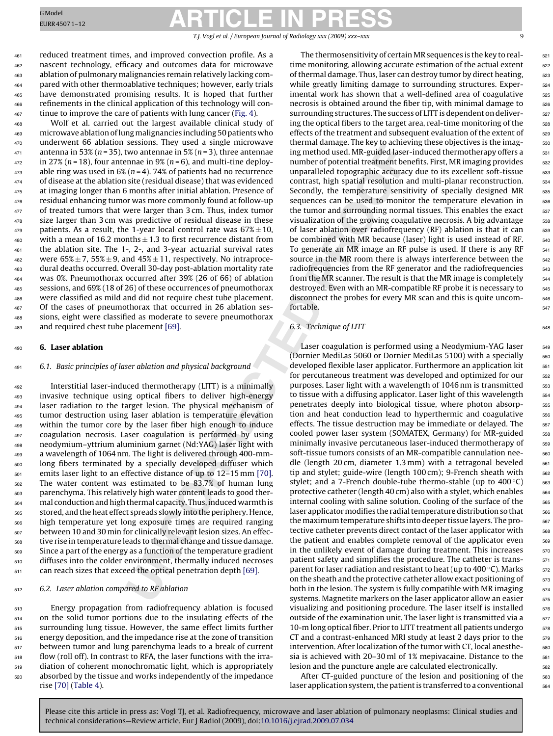T.J. Vogl et al. / European Journal of Radiology *xxx (2009) xxx–xxx* 9

461 reduced treatment times, and improved convection profile. As a nascent technology, efficacy and outcomes data for microwave ablation of pulmonary malignancies remain relatively lacking com- pared with other thermoablative techniques; however, early trials have demonstrated promising results. It is hoped that further refinements in the clinical application of this technology will con-467 tinue to improve the care of patients with lung cancer ([Fig. 4\).](#page-7-0)

 Wolf et al. carried out the largest available clinical study of microwave ablation of lungmalignancies including 50 patients who underwent 66 ablation sessions. They used a single microwave 471 antenna in 53% ( $n = 35$ ), two antennae in 5% ( $n = 3$ ), three antennae in 27% (n = 18), four antennae in 9% (n = 6), and multi-tine deploy-473 able ring was used in  $6\frac{1}{2}$  (n = 4). 74% of patients had no recurrence of disease at the ablation site (residual disease) that was evidenced at imaging longer than 6 months after initial ablation. Presence of residual enhancing tumor was more commonly found at follow-up 477 of treated tumors that were larger than 3 cm. Thus, index tumor size larger than 3 cm was predictive of residual disease in these 479 patients. As a result, the 1-year local control rate was  $67\% \pm 10$ ,<br>480 with a mean of 16.2 months + 1.3 to first recurrence distant from 480 with a mean of 16.2 months  $\pm$  1.3 to first recurrence distant from<br>481 the ablation site. The 1-, 2-, and 3-vear actuarial survival rates the ablation site. The 1-, 2-, and 3-year actuarial survival rates 482 were  $65\% \pm 7$ ,  $55\% \pm 9$ , and  $45\% \pm 11$ , respectively. No intraproce-<br>483 dural deaths occurred. Overall 30-day post-ablation mortality rate dural deaths occurred. Overall 30-day post-ablation mortality rate was 0%. Pneumothorax occurred after 39% (26 of 66) of ablation sessions, and 69% (18 of 26) of these occurrences of pneumothorax were classified as mild and did not require chest tube placement. Of the cases of pneumothorax that occurred in 26 ablation ses- sions, eight were classified as moderate to severe pneumothorax and required chest tube placement [69].

### <sup>490</sup> **6. Laser ablation**

### <sup>491</sup> 6.1. Basic principles of laser ablation and physical background

 Interstitial laser-induced thermotherapy (LITT) is a minimally invasive technique using optical fibers to deliver high-energy laser radiation to the target lesion. The physical mechanism of tumor destruction using laser ablation is temperature elevation within the tumor core by the laser fiber high enough to induce coagulation necrosis. Laser coagulation is performed by using neodymium–yttrium aluminium garnet (Nd:YAG) laser light with a wavelength of 1064 nm. The light is delivered through 400-mm- long fibers terminated by a specially developed diffuser which emits laser light to an effective distance of up to 12–15 mm [70]. The water content was estimated to be 83.7% of human lung parenchyma. This relatively high water content leads to good ther- mal conduction and high thermal capacity. Thus, induced warmth is stored, and the heat effect spreads slowly into the periphery. Hence, high temperature yet long exposure times are required ranging between 10 and 30 min for clinically relevant lesion sizes. An effec- tive rise in temperature leads to thermal change and tissue damage. Since a part of the energy as a function of the temperature gradient diffuses into the colder environment, thermally induced necroses can reach sizes that exceed the optical penetration depth [69].

### <sup>512</sup> 6.2. Laser ablation compared to RF ablation

 Energy propagation from radiofrequency ablation is focused on the solid tumor portions due to the insulating effects of the surrounding lung tissue. However, the same effect limits further energy deposition, and the impedance rise at the zone of transition between tumor and lung parenchyma leads to a break of current flow (roll off). In contrast to RFA, the laser functions with the irra- diation of coherent monochromatic light, which is appropriately absorbed by the tissue and works independently of the impedance rise [\[70\]](#page-11-0) [\(Table 4\).](#page-7-0)

The thermosensitivity of certain MR sequences is the key to real-  $521$ time monitoring, allowing accurate estimation of the actual extent  $\qquad$  522 of thermal damage. Thus, laser can destroy tumor by direct heating, s23 while greatly limiting damage to surrounding structures. Exper-<br>
<sub>524</sub> imental work has shown that a well-defined area of coagulative 525 necrosis is obtained around the fiber tip, with minimal damage to  $\frac{526}{256}$ surrounding structures. The success of LITT is dependent on deliver-<br><sub>527</sub> ing the optical fibers to the target area, real-time monitoring of the  $\frac{528}{2}$ effects of the treatment and subsequent evaluation of the extent of  $\qquad$  529 thermal damage. The key to achieving these objectives is the imag-<br><sub>530</sub> ing method used. MR-guided laser-induced thermotherapy offers a  $_{531}$ number of potential treatment benefits. First, MR imaging provides  $532$ unparalleled topographic accuracy due to its excellent soft-tissue 533 contrast, high spatial resolution and multi-planar reconstruction. 534 Secondly, the temperature sensitivity of specially designed MR 535 sequences can be used to monitor the temperature elevation in 536 the tumor and surrounding normal tissues. This enables the exact  $\frac{537}{2}$ visualization of the growing coagulative necrosis. A big advantage s<sub>38</sub> of laser ablation over radiofrequency (RF) ablation is that it can 539 be combined with MR because (laser) light is used instead of RF.  $\frac{540}{2}$ To generate an MR image an RF pulse is used. If there is any  $RF = 541$ source in the MR room there is always interference between the  $\frac{542}{2}$ radiofrequencies from the RF generator and the radiofrequencies  $543$ from the MR scanner. The result is that the MR image is completely  $_{544}$ destroyed. Even with an MR-compatible RF probe it is necessary to  $\frac{545}{545}$ disconnect the probes for every MR scan and this is quite uncom-<br><sub>546</sub> fortable. 547

### 6.3. Technique of LITT 548

**Example the main tend in the degree and the control in the time in the system. They are the system in the degree and the system and the system and the system (n= 4), 74x of particle in the centrol in the centrol in the sy** Laser coagulation is performed using a Neodymium-YAG laser  $\frac{548}{2}$ (Dornier MediLas 5060 or Dornier MediLas 5100) with a specially  $5500$ developed flexible laser applicator. Furthermore an application kit  $_{551}$ for percutaneous treatment was developed and optimized for our 552 purposes. Laser light with a wavelength of 1046 nm is transmitted  $_{553}$ to tissue with a diffusing applicator. Laser light of this wavelength  $554$ penetrates deeply into biological tissue, where photon absorp- <sup>555</sup> tion and heat conduction lead to hyperthermic and coagulative 556 effects. The tissue destruction may be immediate or delayed. The 557 cooled power laser system (SOMATEX, Germany) for MR-guided 558 minimally invasive percutaneous laser-induced thermotherapy of 559 soft-tissue tumors consists of an MR-compatible cannulation nee-<br><sub>560</sub> dle (length 20 cm, diameter 1.3 mm) with a tetragonal beveled  $_{561}$ tip and stylet; guide-wire (length 100 cm); 9-French sheath with 562 stylet; and a 7-French double-tube thermo-stable (up to  $400\degree C$ ) 563 protective catheter (length 40 cm) also with a stylet, which enables  $564$ internal cooling with saline solution. Cooling of the surface of the 565 laser applicator modifies the radial temperature distribution so that 566 the maximum temperature shifts into deeper tissue layers. The pro-<br><sub>567</sub> tective catheter prevents direct contact of the laser applicator with 568 the patient and enables complete removal of the applicator even  $\frac{569}{569}$ in the unlikely event of damage during treatment. This increases  $570$ patient safety and simplifies the procedure. The catheter is trans-<br> $571$ parent for laser radiation and resistant to heat (up to 400  $\mathrm{^{\circ}C}$ ). Marks  $_{572}$ on the sheath and the protective catheter allow exact positioning of  $573$ both in the lesion. The system is fully compatible with MR imaging  $574$ systems. Magnetite markers on the laser applicator allow an easier  $\frac{575}{2}$ visualizing and positioning procedure. The laser itself is installed <sup>576</sup> outside of the examination unit. The laser light is transmitted via a 577 10-m long optical fiber. Prior to LITT treatment all patients undergo  $\frac{578}{2}$ CT and a contrast-enhanced MRI study at least 2 days prior to the  $579$ intervention. After localization of the tumor with CT, local anesthe- 580 sia is achieved with 20-30 ml of 1% mepivacaine. Distance to the 581 lesion and the puncture angle are calculated electronically.  $582$ 

After CT-guided puncture of the lesion and positioning of the 583 laser application system, the patient is transferred to a conventional sample 1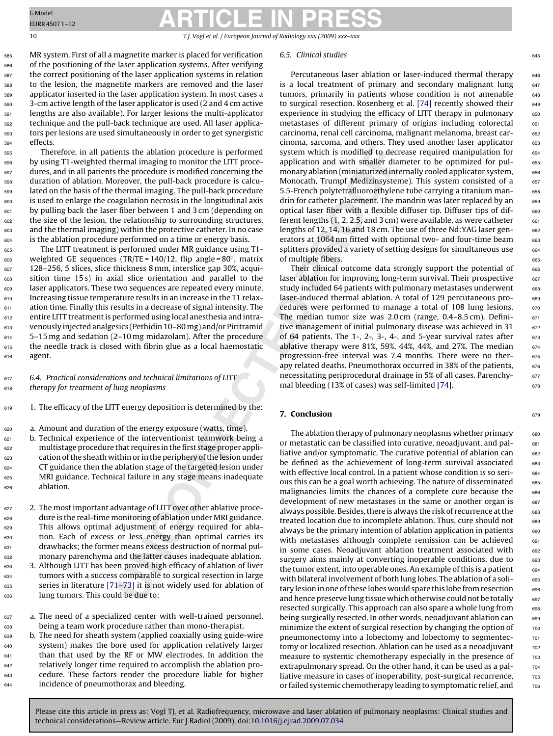GModel EURR 4507 1–12

### **ARTICLE IN PRESS**

10 T.J. Vogl et al. / European Journal of Radiology *xxx (2009) xxx–xxx*

 MR system. First of all a magnetite marker is placed for verification of the positioning of the laser application systems. After verifying the correct positioning of the laser application systems in relation to the lesion, the magnetite markers are removed and the laser applicator inserted in the laser application system. In most cases a 3-cm active length of the laser applicator is used (2 and 4 cm active lengths are also available). For larger lesions the multi-applicator technique and the pull-back technique are used. All laser applica- tors per lesions are used simultaneously in order to get synergistic <sup>594</sup> effects.

 Therefore, in all patients the ablation procedure is performed by using T1-weighted thermal imaging to monitor the LITT proce- dures, and in all patients the procedure is modified concerning the duration of ablation. Moreover, the pull-back procedure is calcu- lated on the basis of the thermal imaging. The pull-back procedure is used to enlarge the coagulation necrosis in the longitudinal axis by pulling back the laser fiber between 1 and 3 cm (depending on the size of the lesion, the relationship to surrounding structures, and the thermal imaging) within the protective catheter. In no case is the ablation procedure performed on a time or energy basis.

 The LITT treatment is performed under MR guidance using T1-  $\cos$  weighted GE sequences (TR/TE = 140/12, flip angle = 80 $\degree$ , matrix 128–256, 5 slices, slice thickness 8 mm, interslice gap 30%, acqui- sition time 15 s) in axial slice orientation and parallel to the laser applicators. These two sequences are repeated every minute. Increasing tissue temperature results in an increase in the T1 relax-611 ation time. Finally this results in a decrease of signal intensity. The entire LITT treatment is performed using local anesthesia and intra- venously injected analgesics (Pethidin 10–80 mg) and/or Piritramid 5–15 mg and sedation (2–10 mg midazolam). After the procedure 615 the needle track is closed with fibrin glue as a local haemostatic <sup>616</sup> agent.

<sup>617</sup> 6.4. Practical considerations and technical limitations of LITT 618 therapy for treatment of lung neoplasms

619 1. The efficacy of the LITT energy deposition is determined by the:

<sup>620</sup> a. Amount and duration of the energy exposure (watts, time).

621 b. Technical experience of the interventionist teamwork being a multistage procedure that requires in the first stage proper appli- cation of the sheath within or in the periphery of the lesion under CT guidance then the ablation stage of the targeted lesion under MRI guidance. Technical failure in any stage means inadequate ablation.

627 2. The most important advantage of LITT over other ablative proce- dure is the real-time monitoring of ablation under MRI guidance. This allows optimal adjustment of energy required for abla- tion. Each of excess or less energy than optimal carries its drawbacks; the former means excess destruction of normal pul-monary parenchyma and the latter causes inadequate ablation.

 3. Although LITT has been proved high efficacy of ablation of liver tumors with a success comparable to surgical resection in large series in literature [\[71–73\]](#page-11-0) it is not widely used for ablation of lung tumors. This could be due to:

<sup>637</sup> a. The need of a specialized center with well-trained personnel, <sup>638</sup> being a team work procedure rather than mono-therapist.

 b. The need for sheath system (applied coaxially using guide-wire system) makes the bore used for application relatively larger than that used by the RF or MW electrodes. In addition the relatively longer time required to accomplish the ablation pro- cedure. These factors render the procedure liable for higher incidence of pneumothorax and bleeding.

### $6.5$  Clinical studies  $645$

Percutaneous laser ablation or laser-induced thermal therapy 646 is a local treatment of primary and secondary malignant lung  $647$ tumors, primarily in patients whose condition is not amenable 648 to surgical resection. Rosenberg et al. [\[74\]](#page-11-0) recently showed their  $649$ experience in studying the efficacy of LITT therapy in pulmonary 650 metastases of different primary of origins including colorectal 651 carcinoma, renal cell carcinoma, malignant melanoma, breast car-<br><sub>652</sub>  $cinoma$ , sarcoma, and others. They used another laser applicator  $653$ system which is modified to decrease required manipulation for 654 application and with smaller diameter to be optimized for pul-<br>
655 monary ablation (miniaturized internally cooled applicator system, 656 Monocath, Trumpf Medizinsysteme). This system consisted of a 657 5.5-French polytetrafluoroethylene tube carrying a titanium man- 658 drin for catheter placement. The mandrin was later replaced by an 659 optical laser fiber with a flexible diffuser tip. Diffuser tips of dif-<br>660 ferent lengths  $(1, 2, 2.5,$  and 3 cm) were available, as were catheter  $661$ lengths of 12, 14, 16 and 18 cm. The use of three Nd:YAG laser gen-<br><sub>662</sub> erators at 1064 nm fitted with optional two- and four-time beam 663 splitters provided a variety of setting designs for simultaneous use 664 of multiple fibers.  $665$ 

Their clinical outcome data strongly support the potential of  $\qquad$   $\qquad$   $\qquad$   $\qquad$   $\qquad$   $\qquad$   $\qquad$   $\qquad$   $\qquad$   $\qquad$   $\qquad$   $\qquad$   $\qquad$   $\qquad$   $\qquad$   $\qquad$   $\qquad$   $\qquad$   $\qquad$   $\qquad$   $\qquad$   $\qquad$   $\qquad$   $\qquad$   $\qquad$   $\qquad$   $\q$ laser ablation for improving long-term survival. Their prospective  $\frac{667}{667}$ study included 64 patients with pulmonary metastases underwent 668 laser-induced thermal ablation. A total of 129 percutaneous pro-<br><sub>669</sub> cedures were performed to manage a total of  $108$  lung lesions.  $670$ The median tumor size was  $2.0 \text{ cm}$  (range,  $0.4-8.5 \text{ cm}$ ). Defini-  $671$ tive management of initial pulmonary disease was achieved in  $31$  672 of 64 patients. The 1-, 2-, 3-, 4-, and 5-year survival rates after  $673$ ablative therapy were 81%, 59%, 44%, 44%, and 27%. The median  $674$ progression-free interval was 7.4 months. There were no ther-<br>
675 apy related deaths. Pneumothorax occurred in 38% of the patients,  $676$ necessitating periprocedural drainage in 5% of all cases. Parenchy-<br>677 mal bleeding  $(13\%$  of cases) was self-limited  $[74]$ .

### **7. Conclusion** <sup>679</sup>

ents the ablation procedure is performed<br> **UNCORRECTED**<br>
Eventina smoking in onlinion is modified to decerning the<br>
term dimaging to monitor the LIT process. Neverthe proposed to the<br>
the procedure is modified concerning t The ablation therapy of pulmonary neoplasms whether primary 680 or metastatic can be classified into curative, neoadjuvant, and pal-<br>
681 liative and/or symptomatic. The curative potential of ablation can 682 be defined as the achievement of long-term survival associated 683 with effective local control. In a patient whose condition is so seri-<br><sub>684</sub> ous this can be a goal worth achieving. The nature of disseminated  $\qquad$  685 malignancies limits the chances of a complete cure because the 686 development of new metastases in the same or another organ is  $687$ always possible. Besides, there is always the risk of recurrence at the 688 treated location due to incomplete ablation. Thus, cure should not 689 always be the primary intention of ablation application in patients 690 with metastases although complete remission can be achieved  $\qquad \qquad$  691 in some cases. Neoadjuvant ablation treatment associated with 692 surgery aims mainly at converting inoperable conditions, due to 693 the tumor extent, into operable ones. An example of this is a patient 694 with bilateral involvement of both lung lobes. The ablation of a soli-<br>
695 tary lesion in one of these lobes would spare this lobe from resection 696 and hence preserve lung tissue which otherwise could not be totally  $\qquad \qquad$  697 resected surgically. This approach can also spare a whole lung from  $\frac{1}{698}$ being surgically resected. In other words, neoadjuvant ablation can  $\qquad \qquad$  699 minimize the extent of surgical resection by changing the option of  $_{700}$ pneumonectomy into a lobectomy and lobectomy to segmentec-<br>  $701$ tomy or localized resection. Ablation can be used as a neoadjuvant  $\qquad$ measure to systemic chemotherapy especially in the presence of  $\qquad$   $\frac{703}{203}$ extrapulmonary spread. On the other hand, it can be used as a pal-<br> $704$ liative measure in cases of inoperability, post-surgical recurrence,  $\frac{705}{200}$ or failed systemic chemotherapy leading to symptomatic relief, and  $_{706}$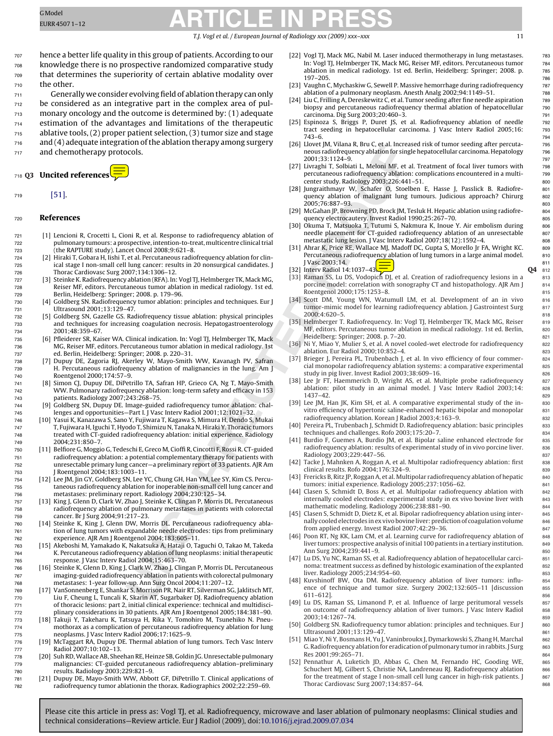T.J. Vogl et al. / European Journal of Radiology *xxx (2009) xxx–xxx* 11

<span id="page-10-0"></span> hence a better life quality in this group of patients. According to our knowledge there is no prospective randomized comparative study that determines the superiority of certain ablative modality over the other.

 Generally we consider evolving field of ablation therapy can only be considered as an integrative part in the complex area of pul- monary oncology and the outcome is determined by: (1) adequate estimation of the advantages and limitations of the therapeutic ablative tools, (2) proper patient selection, (3) tumor size and stage and (4) adequate integration of the ablation therapy among surgery and chemotherapy protocols.



### <sup>720</sup> **References**

- 721 [1] Lencioni R, Crocetti L, Cioni R, et al. Response to radiofrequency ablation of 722 pulmonary tumours: a prospective, intention-to-treat, multicentre clinical trial 723 (the RAPTURE study). Lancet Oncol 2008;9:621–8.
- 724 [2] Hiraki T, Gobara H, Iishi T, et al. Percutaneous radiofrequency ablation for clinical stage I non-small cell lung cancer: results in 20 nonsurgical candidates. J 726 Thorac Cardiovasc Surg 2007;134:1306–12.
- 727 [3] Steinke K. Radiofrequency ablation (RFA). In: Vogl TJ, Helmberger TK, Mack MG, 728 Reiser MF, editors. Percutaneous tumor ablation in medical radiology. 1st ed. 729 Berlin, Heidelberg: Springer; 2008. p. 179–96.
- 730 [4] Goldberg SN. Radiofrequency tumor ablation: principles and techniques. Eur J 731 Ultrasound 2001;13:129–47.
- 732 [5] Goldberg SN, Gazelle GS. Radiofrequency tissue ablation: physical principles 733 and techniques for increasing coagulation necrosis. Hepatogastroenterology 734 2001;48:359–67.
- 735 [6] Pfleiderer SR, Kaiser WA. Clinical indication. In: Vogl TJ, Helmberger TK, Mack 736 MG, Reiser MF, editors. Percutaneous tumor ablation in medical radiology. 1st 737 ed. Berlin, Heidelberg: Springer; 2008. p. 220–31.
- 738 [7] Dupuy DE, Zagoria RJ, Akerley W, Mayo-Smith WW, Kavanagh PV, Safran 739 H. Percutaneous radiofrequency ablation of malignancies in the lung. Am J 740 Roentgenol 2000;174:57–9.
- 741 [8] Simon CJ, Dupuy DE, DiPetrillo TA, Safran HP, Grieco CA, Ng T, Mayo-Smith 742 WW. Pulmonary radiofrequency ablation: long-term safety and efficacy in 153 743 patients. Radiology 2007;243:268–75.
- 744 [9] Goldberg SN, Dupuy DE. Image-guided radiofrequency tumor ablation: chal-745 lenges and opportunities—Part I. J Vasc Interv Radiol 2001;12:1021–32.
- 746 [10] Yasui K, Kanazawa S, Sano Y, Fujiwara T, Kagawa S, Mimura H, Dendo S, Mukai 747 T, Fujiwara H, Iguchi T, Hyodo T, Shimizu N, Tanaka N, Hiraki Y. Thoracic tumors 748 treated with CT-guided radiofrequency ablation: initial experience. Radiology 749 2004;231:850–7.
- Color Control and Control and Control and Control and Control and Control and Control and Control and Control and Control and Control and Control and Control and Control and Control and Control and Control and Control and 750 [11] Belfiore G, Moggio G, Tedeschi E, Greco M, Cioffi R, Cincotti F, Rossi R. CT-guided 751 radiofrequency ablation: a potential complementary therapy for patients with 752 unresectable primary lung cancer—a preliminary report of 33 patients. AJR Am 753 J Roentgenol 2004;183:1003–11.
- 754 [12] Lee JM, Jin GY, Goldberg SN, Lee YC, Chung GH, Han YM, Lee SY, Kim CS. Percu-755 taneous radiofrequency ablation for inoperable non-small cell lung cancer and 756 metastases: preliminary report. Radiology 2004;230:125–34.
- 757 [13] King J, Glenn D, Clark W, Zhao J, Steinke K, Clingan P, Morris DL. Percutaneous 758 radiofrequency ablation of pulmonary metastases in patients with colorectal 759 cancer. Br J Surg 2004;91:217–23.
- 760 [14] Steinke K, King J, Glenn DW, Morris DL. Percutaneous radiofrequency abla-761 tion of lung tumors with expandable needle electrodes: tips from preliminary 762 experience. AJR Am J Roentgenol 2004;183:605–11.
- 763 [15] Akeboshi M, Yamakado K, Nakatsuka A, Hataji O, Taguchi O, Takao M, Takeda 764 K. Percutaneous radiofrequency ablation of lung neoplasms: initial therapeutic 765 response. J Vasc Interv Radiol 2004;15:463–70.
- 766 [16] Steinke K, Glenn D, King J, Clark W, Zhao J, Clingan P, Morris DL. Percutaneous 767 imaging-guided radiofrequency ablation in patients with colorectal pulmonary 768 metastases: 1-year follow-up. Ann Surg Oncol 2004;11:207–12.
- 769 [17] VanSonnenberg E, Shankar S, Morrison PR, Nair RT, Silverman SG, Jaklitsch MT, 770 Liu F, Cheung L, Tuncali K, Skarin AT, Sugarbaker DJ. Radiofrequency ablation 771 of thoracic lesions: part 2, initial clinical experience: technical and multidisci-772 plinary considerations in 30 patients. AJR Am J Roentgenol 2005;184:381–90.
- 773 [18] Takuji Y, Takeharu K, Tatsuya H, Rika Y, Tomohiro M, Tsunehiko N. Pneu-774 mothorax as a complication of percutaneous radiofrequency ablation for lung 775 neoplasms. J Vasc Interv Radiol 2006;17:1625–9.
- 776 [19] McTaggart RA, Dupuy DE. Thermal ablation of lung tumors. Tech Vasc Interv 777 Radiol 2007;10:102–13.
- 778 [20] Suh RD,Wallace AB, Sheehan RE, Heinze SB, Goldin JG. Unresectable pulmonary 779 malignancies: CT-guided percutaneous radiofrequency ablation–preliminary 780 results. Radiology 2003;229:821–9.
- 781 [21] Dupuy DE, Mayo-Smith WW, Abbott GF, DiPetrillo T. Clinical applications of 782 radiofrequency tumor ablationin the thorax. Radiographics 2002;22:259–69.
- [22] Vogl TJ, Mack MG, Nabil M. Laser induced thermotherapy in lung metastases. 783 In: Vogl TJ, Helmberger TK, Mack MG, Reiser MF, editors. Percutaneous tumor and the reading the reading the di<br>ablation in medical radiology. 1st ed. Berlin. Heidelberg: Springer: 2008. p. and ablation in medical radiology. 1st ed. Berlin, Heidelberg: Springer; 2008. p. 197–205. 786
- [23] Vaughn C, Mychaskiw G, Sewell P. Massive hemorrhage during radiofrequency 787 ablation of a pulmonary neoplasm. Anesth Analg 2002;94:1149-51
- [24] Liu C, Frilling A, Dereskewitz C, et al. Tumor seeding after fine needle aspiration 789 biopsy and percutaneous radiofrequency thermal ablation of hepatocellular carcinoma. Dig Surg 2003;20:460-3. **791 1202:460**
- [25] Espinoza S, Briggs P, Duret JS, et al. Radiofrequency ablation of needle 792 tract seeding in hepatocellular carcinoma. J Vasc Interv Radiol 2005;16: 743–6. 794
- [26] Llovet JM, Vilana R, Bru C, et al. Increased risk of tumor seeding after percuta- 795 neous radiofrequency ablation for single hepatocellular carcinoma. Hepatology 796 2001;33:1124–9. 797
- [27] Livraghi T, Solbiati L, Meloni MF, et al. Treatment of focal liver tumors with percutaneous radiofrequency ablation: complications encountered in a multi-<br>
center study. Radiology 2003:226:441-51. center study. Radiology 2003;226:441-51.
- [28] Jungraithmayr W, Schafer O, Stoelben E, Hasse J, Passlick B. Radiofre- 801 quency ablation of malignant lung tumours. Judicious approach? Chirurg 802<br>2005;76:887–93. 803 2005:76:887-93.
- [29] McGahan JP, Browning PD, Brock JM, Tesluk H. Hepatic ablation using radiofre- 804 quency electrocautery. Invest Radiol 1990;25:267-70.
- [30] Okuma T, Matsuoka T, Tutumi S, Nakmura K, Inoue Y. Air embolism during 806 needle placement for CT-guided radiofrequency ablation of an unresectable 807<br>metastatic lung lesion. I Vasc Interv Radiol 2007:18(12):1592–4. metastatic lung lesion. J Vasc Interv Radiol 2007;18(12):1592-4.
- [31] Ahrar K, Price RE, Wallace MJ, Madoff DC, Gupta S, Morello Jr FA, Wright KC. 809 Percutaneous radiofrequency ablation of lung tumors in a large animal model.<br>1 Vasc 2003:14. J Vasc 2003;14. 811 [32] Interv Radiol 14:1037–43. **Q4** 812
- 
- [33] Raman SS, Lu DS, Vodopich DJ, et al. Creation of radiofrequency lesions in a 813 porcine model: correlation with sonography CT and histopathology. AJR Am J 814 Roentgenol 2000:175:1253–8. 815
- [34] Scott DM, Young WN, Watumull LM, et al. Development of an in vivo 816 tumor-mimic model for learning radiofrequency ablation. J Gastrointest Surg 817 2000;4:620–5. 818
- [35] Helmberger T. Radiofrequency. In: Vogl TJ, Helmberger TK, Mack MG, Reiser 819 MF, editors. Percutaneous tumor ablation in medical radiology. 1st ed. Berlin, easo Heidelberg: Springer; 2008. p. 7–20.
- [36] Ni Y, Miao Y, Mulier S, et al. A novel cooled-wet electrode for radiofrequency a22 ablation. Eur Radiol 2000;10:852–4.<br>Brieger I. Pereira PL. Trubenbach I. et al. In vivo efficiency of four commer- 824
- [37] Brieger J, Pereira PL, Trubenbach J, et al. In vivo efficiency of four commercial monopolar radiofrequency ablation systems: a comparative experimental 825 study in pig liver. Invest Radiol 2003;38:609-16.
- [38] Lee Jr FT, Haemmerich D, Wright AS, et al. Multiple probe radiofrequency 827 ablation: pilot study in an animal model. J Vasc Interv Radiol 2003;14: 828<br>1437–42 1437–42. 829
- [39] Lee JM, Han JK, Kim SH, et al. A comparative experimental study of the in- 830 vitro efficiency of hypertonic saline-enhanced hepatic bipolar and monopolar 831 radiofrequency ablation. Korean J Radiol 2003:4:163-9.
- [40] Pereira PL, Trubenbach J, Schmidt D. Radiofrequency ablation: basic principles 833 techniques and challenges. Rofo 2003;175:20–7. 834
- [41] Burdio F, Guemes A, Burdio JM, et al. Bipolar saline enhanced electrode for 835 radiofrequency ablation: results of experimental study of in vivo porcine liver. 836 Radiology 2003;229:447-56. 837
- [42] Tacke J, Mahnken A, Roggan A, et al. Multipolar radiofrequency ablation: first 838 clinical results. Rofo 2004;176:324–9. 839
- [43] Frericks B, Ritz JP, Roggan A, et al. Multipolar radiofrequency ablation of hepatic 840 tumors: initial experience. Radiology 2005;237:1056–62. 841
- [44] Clasen S, Schmidt D, Boss A, et al. Multipolar radiofrequency ablation with 842 internally cooled electrodes: experimental study in ex vivo bovine liver with  $843$ mathematic modeling. Radiology 2006;238:881-90. **844**
- [45] Clasen S, Schmidt D, Dietz K, et al. Bipolar radiofrequency ablation using inter- 845 nally cooled electrodes in ex vivo bovine liver: prediction of coagulation volume 846 from applied energy. Invest Radiol 2007;42:29-36. SAPS 847
- [46] Poon RT, Ng KK, Lam CM, et al. Learning curve for radiofrequency ablation of 848 liver tumors: prospective analysis of initial 100 patients in a tertiary institution.  $\frac{849}{850}$ Ann Surg 2004;239:441-9.
- [47] Lu DS, Yu NC, Raman SS, et al. Radiofrequency ablation of hepatocellular carci-<br>851 noma: treatment success as defined by histologic examination of the explanted 852 liver. Radiology 2005;234:954-60. **853**
- [48] Kuvshinoff BW, Ota DM. Radiofrequency ablation of liver tumors: influ- 854 ence of technique and tumor size. Surgery 2002;132:605-11 [discussion 611–612]. 856
- [49] Lu DS, Raman SS, Limanond P, et al. Influence of large peritumoral vessels 857 on outcome of radiofrequency ablation of liver tumors. J Vasc Interv Radiol 858 <sub>859</sub><br>Goldberg SN. Radiofrequency tumor ablation: principles and techniques. Eur I
- [50] Goldberg SN. Radiofrequency tumor ablation: principles and techniques. Eur J Ultrasound 2001;13:129–47. 861 and 861 and 861 and 861 and 861 and 861 and 861 and 861 and 861 and 861 and 861 and 861 and 861 and 861 and 861 and 861 and 861 and 861 and 861 and 861 and 861 and 861 and 861 and 861 and 861
- [51] Miao Y, Ni Y, Bosmans H, Yu J, Vaninbroukx J, Dymarkowski S, Zhang H, Marchal 862 G. Radiofrequency ablation for eradication of pulmonary tumor in rabbits. J Surg Res 2001;99:265–71. 864
- [52] Pennathur A, Luketich JD, Abbas G, Chen M, Fernando HC, Gooding WE, Schuchert MJ, Gilbert S, Christie NA, Landreneau RJ. Radiofrequency ablation 866 for the treatment of stage I non-small cell lung cancer in high-risk patients. J 867 Thorac Cardiovasc Surg 2007;134:857-64.